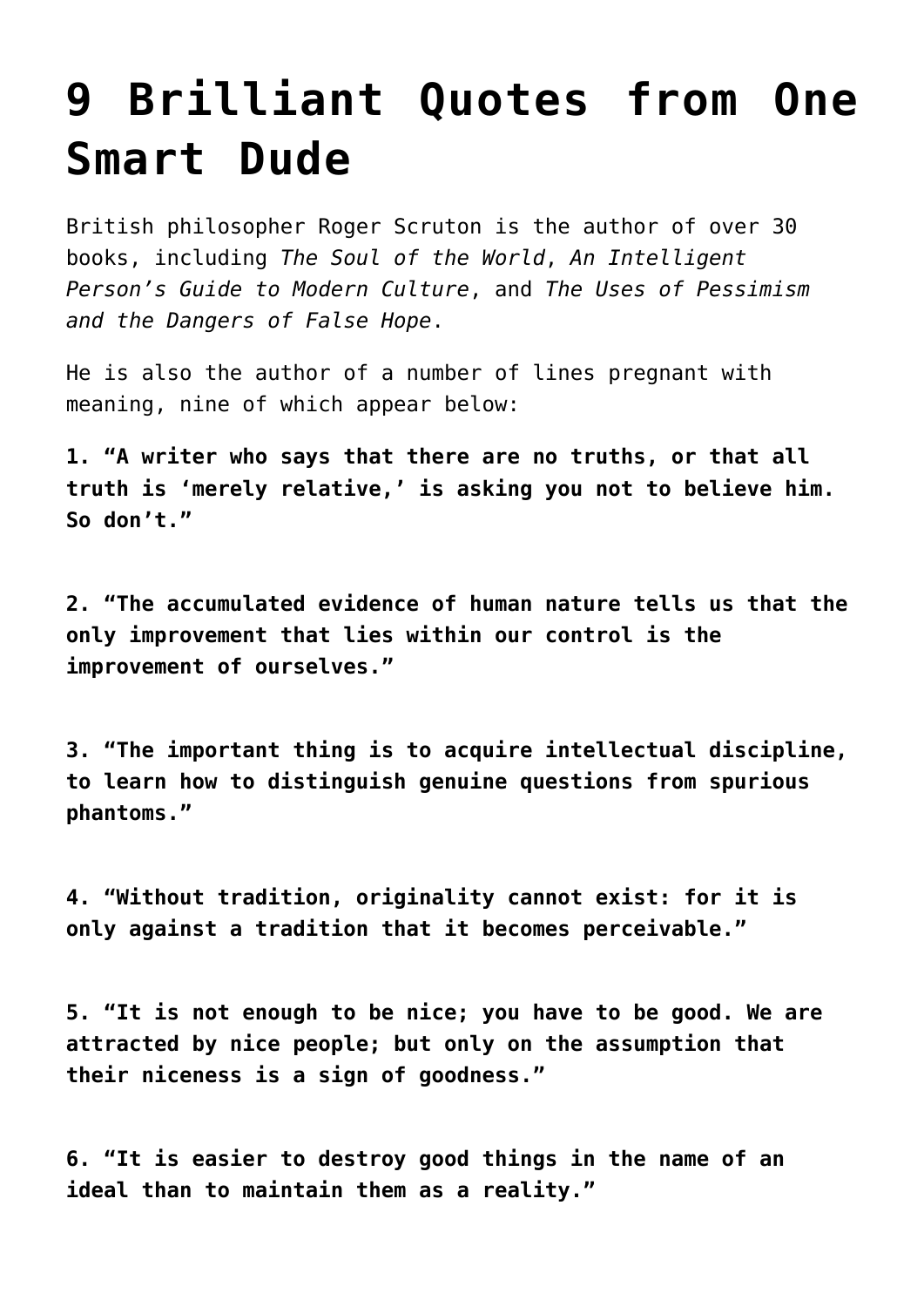## **[9 Brilliant Quotes from One](https://intellectualtakeout.org/2015/10/9-brilliant-quotes-from-one-smart-dude/) [Smart Dude](https://intellectualtakeout.org/2015/10/9-brilliant-quotes-from-one-smart-dude/)**

British philosopher Roger Scruton is the author of over 30 books, including *The Soul of the World*, *An Intelligent Person's Guide to Modern Culture*, and *The Uses of Pessimism and the Dangers of False Hope*.

He is also the author of a number of lines pregnant with meaning, nine of which appear below:

**1. "A writer who says that there are no truths, or that all truth is 'merely relative,' is asking you not to believe him. So don't."**

**2. "The accumulated evidence of human nature tells us that the only improvement that lies within our control is the improvement of ourselves."**

**3. "The important thing is to acquire intellectual discipline, to learn how to distinguish genuine questions from spurious phantoms."**

**4. "Without tradition, originality cannot exist: for it is only against a tradition that it becomes perceivable."**

**5. "It is not enough to be nice; you have to be good. We are attracted by nice people; but only on the assumption that their niceness is a sign of goodness."** 

**6. "It is easier to destroy good things in the name of an ideal than to maintain them as a reality."**